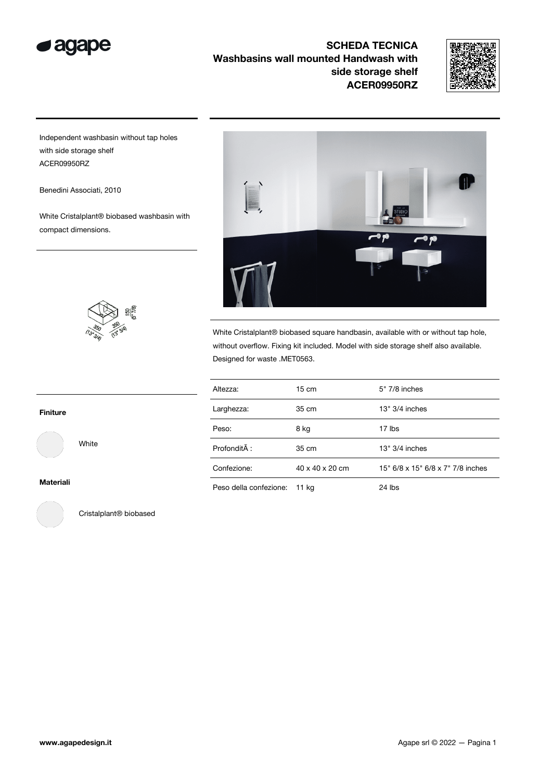



Independent washbasin without tap holes with side storage shelf ACER09950RZ

Benedini Associati, 2010

White Cristalplant® biobased washbasin with compact dimensions.

 $rac{150}{7/8}$ 



White Cristalplant® biobased square handbasin, available with or without tap hole, without overflow. Fixing kit included. Model with side storage shelf also available. Designed for waste .MET0563.

| Altezza:               | $15 \text{ cm}$ | 5" 7/8 inches                     |
|------------------------|-----------------|-----------------------------------|
| Larghezza:             | 35 cm           | $13" 3/4$ inches                  |
| Peso:                  | 8 kg            | 17 lbs                            |
| Profondità :           | 35 cm           | $13" 3/4$ inches                  |
| Confezione:            | 40 x 40 x 20 cm | 15" 6/8 x 15" 6/8 x 7" 7/8 inches |
| Peso della confezione: | 11 kg           | $24$ lbs                          |

Finiture

White

Materiali



Cristalplant® biobased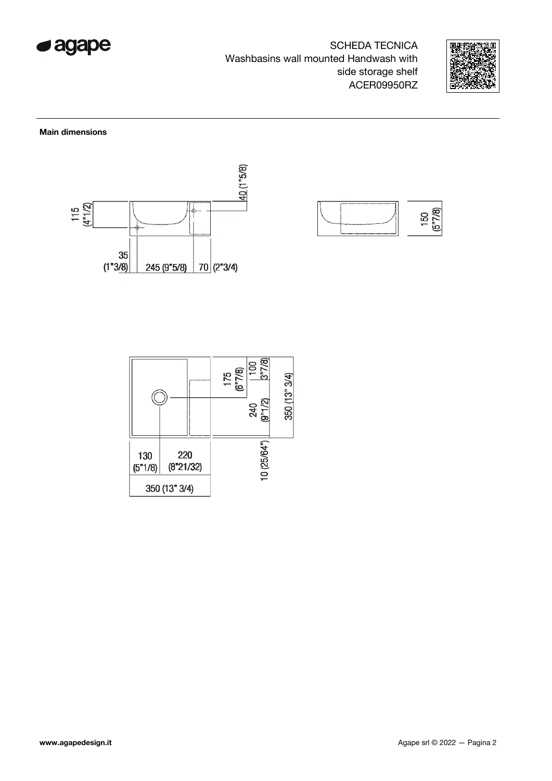



Main dimensions





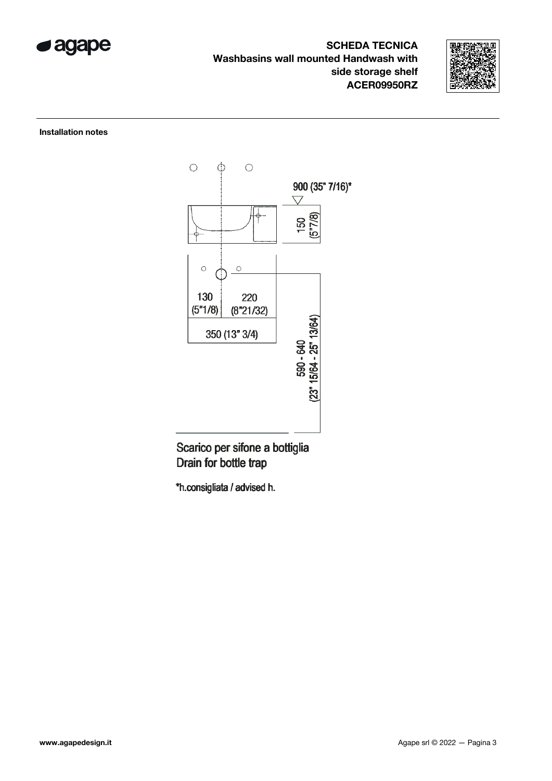



## Installation notes



Scarico per sifone a bottiglia Drain for bottle trap

\*h.consigliata / advised h.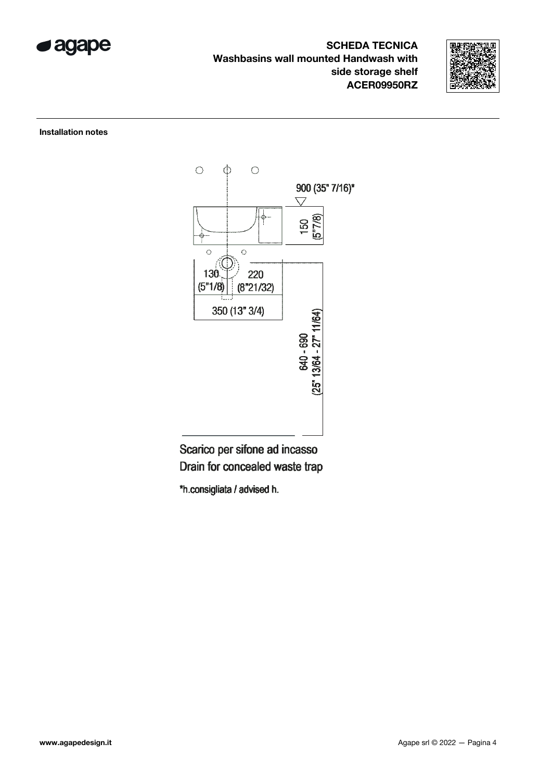



## Installation notes



Scarico per sifone ad incasso Drain for concealed waste trap

\*h.consigliata / advised h.